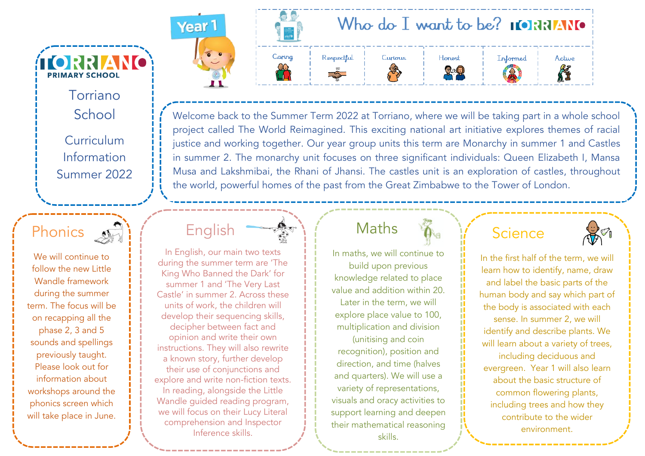Torriano School Curriculum Information

**TORRIANO** 

**PRIMARY SCHOOL** 

Summer 2022

## **Phonics**

We will continue to follow the new Little Wandle framework during the summer term. The focus will be on recapping all the phase 2, 3 and 5 sounds and spellings previously taught. Please look out for information about workshops around the phonics screen which will take place in June.

### Who do I want to be? **1013374NO** Year<sub>1</sub> **E** Caring Respectful Curious Honest Informed Active the K RIP  $22$ **CONTROL O**

Welcome back to the Summer Term 2022 at Torriano, where we will be taking part in a whole school project called The World Reimagined. This exciting national art initiative explores themes of racial justice and working together. Our year group units this term are Monarchy in summer 1 and Castles in summer 2. The monarchy unit focuses on three significant individuals: Queen Elizabeth I, Mansa Musa and Lakshmibai, the Rhani of Jhansi. The castles unit is an exploration of castles, throughout the world, powerful homes of the past from the Great Zimbabwe to the Tower of London.

English

In English, our main two texts during the summer term are 'The King Who Banned the Dark' for summer 1 and 'The Very Last Castle' in summer 2. Across these units of work, the children will develop their sequencing skills, decipher between fact and opinion and write their own instructions. They will also rewrite a known story, further develop their use of conjunctions and explore and write non-fiction texts. In reading, alongside the Little Wandle guided reading program, we will focus on their Lucy Literal comprehension and Inspector Inference skills.

## Maths

In maths, we will continue to build upon previous knowledge related to place value and addition within 20. Later in the term, we will explore place value to 100, multiplication and division (unitising and coin recognition), position and direction, and time (halves and quarters). We will use a variety of representations, visuals and oracy activities to support learning and deepen their mathematical reasoning skills.





In the first half of the term, we will learn how to identify, name, draw and label the basic parts of the human body and say which part of the body is associated with each sense. In summer 2, we will identify and describe plants. We will learn about a variety of trees, including deciduous and evergreen. Year 1 will also learn about the basic structure of common flowering plants, including trees and how they contribute to the wider environment.